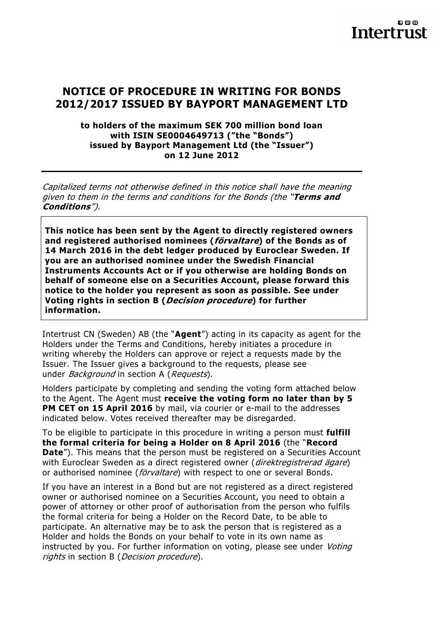### **NOTICE OF PROCEDURE IN WRITING FOR BONDS 2012/2017 ISSUED BY BAYPORT MANAGEMENT LTD**

#### **to holders of the maximum SEK 700 million bond loan with ISIN SE0004649713 ("the "Bonds") issued by Bayport Management Ltd (the "Issuer") on 12 June 2012**

Capitalized terms not otherwise defined in this notice shall have the meaning given to them in the terms and conditions for the Bonds (the "**Terms and Conditions**").

**This notice has been sent by the Agent to directly registered owners and registered authorised nominees (förvaltare) of the Bonds as of 14 March 2016 in the debt ledger produced by Euroclear Sweden. If you are an authorised nominee under the Swedish Financial Instruments Accounts Act or if you otherwise are holding Bonds on behalf of someone else on a Securities Account, please forward this notice to the holder you represent as soon as possible. See under Voting rights in section B (Decision procedure) for further information.** 

Intertrust CN (Sweden) AB (the "**Agent**") acting in its capacity as agent for the Holders under the Terms and Conditions, hereby initiates a procedure in writing whereby the Holders can approve or reject a requests made by the Issuer. The Issuer gives a background to the requests, please see under *Background* in section A (*Requests*).

Holders participate by completing and sending the voting form attached below to the Agent. The Agent must **receive the voting form no later than by 5 PM CET on 15 April 2016** by mail, via courier or e-mail to the addresses indicated below. Votes received thereafter may be disregarded.

To be eligible to participate in this procedure in writing a person must **fulfill the formal criteria for being a Holder on 8 April 2016** (the "**Record Date**"). This means that the person must be registered on a Securities Account with Euroclear Sweden as a direct registered owner (direktregistrerad ägare) or authorised nominee (förvaltare) with respect to one or several Bonds.

If you have an interest in a Bond but are not registered as a direct registered owner or authorised nominee on a Securities Account, you need to obtain a power of attorney or other proof of authorisation from the person who fulfils the formal criteria for being a Holder on the Record Date, to be able to participate. An alternative may be to ask the person that is registered as a Holder and holds the Bonds on your behalf to vote in its own name as instructed by you. For further information on voting, please see under *Voting* rights in section B (*Decision procedure*).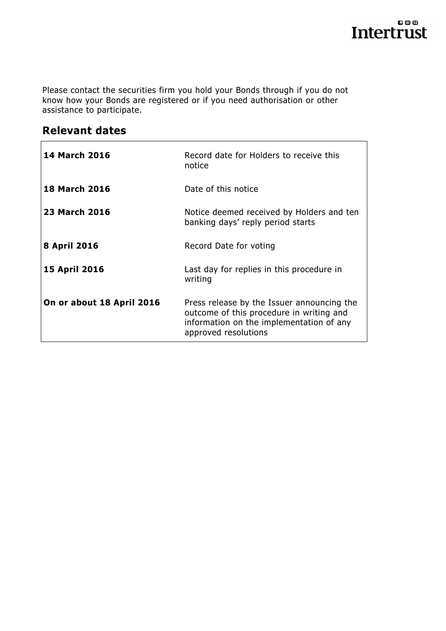Please contact the securities firm you hold your Bonds through if you do not know how your Bonds are registered or if you need authorisation or other assistance to participate.

## **Relevant dates**

| <b>14 March 2016</b>      | Record date for Holders to receive this<br>notice                                                                                                          |
|---------------------------|------------------------------------------------------------------------------------------------------------------------------------------------------------|
| <b>18 March 2016</b>      | Date of this notice                                                                                                                                        |
| 23 March 2016             | Notice deemed received by Holders and ten<br>banking days' reply period starts                                                                             |
| 8 April 2016              | Record Date for voting                                                                                                                                     |
| <b>15 April 2016</b>      | Last day for replies in this procedure in<br>writing                                                                                                       |
| On or about 18 April 2016 | Press release by the Issuer announcing the<br>outcome of this procedure in writing and<br>information on the implementation of any<br>approved resolutions |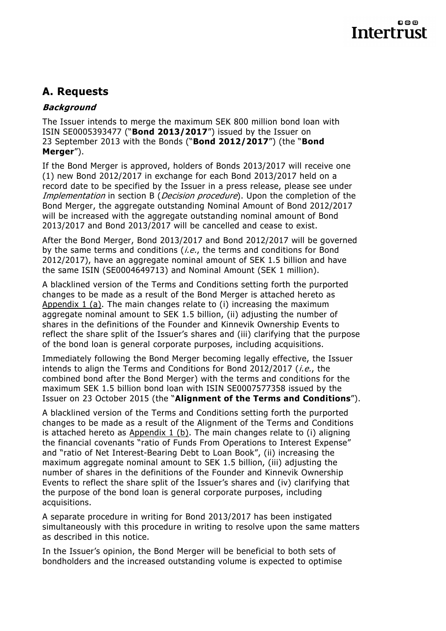# **A. Requests**

### **Background**

The Issuer intends to merge the maximum SEK 800 million bond loan with ISIN SE0005393477 ("**Bond 2013/2017**") issued by the Issuer on 23 September 2013 with the Bonds ("**Bond 2012/2017**") (the "**Bond Merger**").

If the Bond Merger is approved, holders of Bonds 2013/2017 will receive one (1) new Bond 2012/2017 in exchange for each Bond 2013/2017 held on a record date to be specified by the Issuer in a press release, please see under Implementation in section B (*Decision procedure*). Upon the completion of the Bond Merger, the aggregate outstanding Nominal Amount of Bond 2012/2017 will be increased with the aggregate outstanding nominal amount of Bond 2013/2017 and Bond 2013/2017 will be cancelled and cease to exist.

After the Bond Merger, Bond 2013/2017 and Bond 2012/2017 will be governed by the same terms and conditions (*i.e.*, the terms and conditions for Bond 2012/2017), have an aggregate nominal amount of SEK 1.5 billion and have the same ISIN (SE0004649713) and Nominal Amount (SEK 1 million).

A blacklined version of the Terms and Conditions setting forth the purported changes to be made as a result of the Bond Merger is attached hereto as Appendix 1 (a). The main changes relate to (i) increasing the maximum aggregate nominal amount to SEK 1.5 billion, (ii) adjusting the number of shares in the definitions of the Founder and Kinnevik Ownership Events to reflect the share split of the Issuer's shares and (iii) clarifying that the purpose of the bond loan is general corporate purposes, including acquisitions.

Immediately following the Bond Merger becoming legally effective, the Issuer intends to align the Terms and Conditions for Bond 2012/2017 (*i.e.*, the combined bond after the Bond Merger) with the terms and conditions for the maximum SEK 1.5 billion bond loan with ISIN SE0007577358 issued by the Issuer on 23 October 2015 (the "**Alignment of the Terms and Conditions**").

A blacklined version of the Terms and Conditions setting forth the purported changes to be made as a result of the Alignment of the Terms and Conditions is attached hereto as Appendix 1 (b). The main changes relate to (i) aligning the financial covenants "ratio of Funds From Operations to Interest Expense" and "ratio of Net Interest-Bearing Debt to Loan Book", (ii) increasing the maximum aggregate nominal amount to SEK 1.5 billion, (iii) adjusting the number of shares in the definitions of the Founder and Kinnevik Ownership Events to reflect the share split of the Issuer's shares and (iv) clarifying that the purpose of the bond loan is general corporate purposes, including acquisitions.

A separate procedure in writing for Bond 2013/2017 has been instigated simultaneously with this procedure in writing to resolve upon the same matters as described in this notice.

In the Issuer's opinion, the Bond Merger will be beneficial to both sets of bondholders and the increased outstanding volume is expected to optimise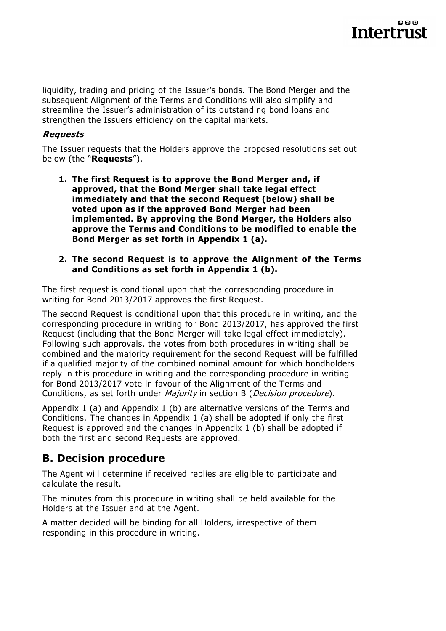liquidity, trading and pricing of the Issuer's bonds. The Bond Merger and the subsequent Alignment of the Terms and Conditions will also simplify and streamline the Issuer's administration of its outstanding bond loans and strengthen the Issuers efficiency on the capital markets.

### **Requests**

The Issuer requests that the Holders approve the proposed resolutions set out below (the "**Requests**").

- **1. The first Request is to approve the Bond Merger and, if approved, that the Bond Merger shall take legal effect immediately and that the second Request (below) shall be voted upon as if the approved Bond Merger had been implemented. By approving the Bond Merger, the Holders also approve the Terms and Conditions to be modified to enable the Bond Merger as set forth in Appendix 1 (a).**
- **2. The second Request is to approve the Alignment of the Terms and Conditions as set forth in Appendix 1 (b).**

The first request is conditional upon that the corresponding procedure in writing for Bond 2013/2017 approves the first Request.

The second Request is conditional upon that this procedure in writing, and the corresponding procedure in writing for Bond 2013/2017, has approved the first Request (including that the Bond Merger will take legal effect immediately). Following such approvals, the votes from both procedures in writing shall be combined and the majority requirement for the second Request will be fulfilled if a qualified majority of the combined nominal amount for which bondholders reply in this procedure in writing and the corresponding procedure in writing for Bond 2013/2017 vote in favour of the Alignment of the Terms and Conditions, as set forth under *Majority* in section B (*Decision procedure*).

Appendix 1 (a) and Appendix 1 (b) are alternative versions of the Terms and Conditions. The changes in Appendix 1 (a) shall be adopted if only the first Request is approved and the changes in Appendix 1 (b) shall be adopted if both the first and second Requests are approved.

## **B. Decision procedure**

The Agent will determine if received replies are eligible to participate and calculate the result.

The minutes from this procedure in writing shall be held available for the Holders at the Issuer and at the Agent.

A matter decided will be binding for all Holders, irrespective of them responding in this procedure in writing.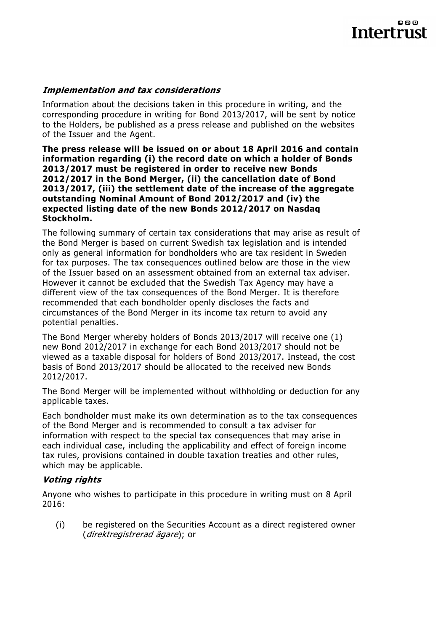#### **Implementation and tax considerations**

Information about the decisions taken in this procedure in writing, and the corresponding procedure in writing for Bond 2013/2017, will be sent by notice to the Holders, be published as a press release and published on the websites of the Issuer and the Agent.

**The press release will be issued on or about 18 April 2016 and contain information regarding (i) the record date on which a holder of Bonds 2013/2017 must be registered in order to receive new Bonds 2012/2017 in the Bond Merger, (ii) the cancellation date of Bond 2013/2017, (iii) the settlement date of the increase of the aggregate outstanding Nominal Amount of Bond 2012/2017 and (iv) the expected listing date of the new Bonds 2012/2017 on Nasdaq Stockholm.** 

The following summary of certain tax considerations that may arise as result of the Bond Merger is based on current Swedish tax legislation and is intended only as general information for bondholders who are tax resident in Sweden for tax purposes. The tax consequences outlined below are those in the view of the Issuer based on an assessment obtained from an external tax adviser. However it cannot be excluded that the Swedish Tax Agency may have a different view of the tax consequences of the Bond Merger. It is therefore recommended that each bondholder openly discloses the facts and circumstances of the Bond Merger in its income tax return to avoid any potential penalties.

The Bond Merger whereby holders of Bonds 2013/2017 will receive one (1) new Bond 2012/2017 in exchange for each Bond 2013/2017 should not be viewed as a taxable disposal for holders of Bond 2013/2017. Instead, the cost basis of Bond 2013/2017 should be allocated to the received new Bonds 2012/2017.

The Bond Merger will be implemented without withholding or deduction for any applicable taxes.

Each bondholder must make its own determination as to the tax consequences of the Bond Merger and is recommended to consult a tax adviser for information with respect to the special tax consequences that may arise in each individual case, including the applicability and effect of foreign income tax rules, provisions contained in double taxation treaties and other rules, which may be applicable.

#### **Voting rights**

Anyone who wishes to participate in this procedure in writing must on 8 April 2016:

(i) be registered on the Securities Account as a direct registered owner (direktregistrerad ägare); or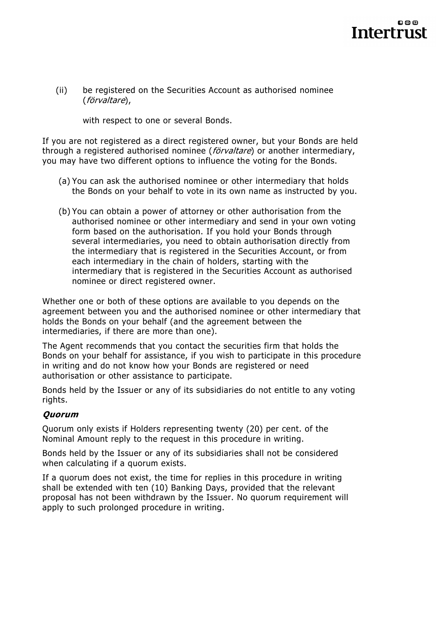(ii) be registered on the Securities Account as authorised nominee (förvaltare),

with respect to one or several Bonds.

If you are not registered as a direct registered owner, but your Bonds are held through a registered authorised nominee (*förvaltare*) or another intermediary, you may have two different options to influence the voting for the Bonds.

- (a) You can ask the authorised nominee or other intermediary that holds the Bonds on your behalf to vote in its own name as instructed by you.
- (b) You can obtain a power of attorney or other authorisation from the authorised nominee or other intermediary and send in your own voting form based on the authorisation. If you hold your Bonds through several intermediaries, you need to obtain authorisation directly from the intermediary that is registered in the Securities Account, or from each intermediary in the chain of holders, starting with the intermediary that is registered in the Securities Account as authorised nominee or direct registered owner.

Whether one or both of these options are available to you depends on the agreement between you and the authorised nominee or other intermediary that holds the Bonds on your behalf (and the agreement between the intermediaries, if there are more than one).

The Agent recommends that you contact the securities firm that holds the Bonds on your behalf for assistance, if you wish to participate in this procedure in writing and do not know how your Bonds are registered or need authorisation or other assistance to participate.

Bonds held by the Issuer or any of its subsidiaries do not entitle to any voting rights.

#### **Quorum**

Quorum only exists if Holders representing twenty (20) per cent. of the Nominal Amount reply to the request in this procedure in writing.

Bonds held by the Issuer or any of its subsidiaries shall not be considered when calculating if a quorum exists.

If a quorum does not exist, the time for replies in this procedure in writing shall be extended with ten (10) Banking Days, provided that the relevant proposal has not been withdrawn by the Issuer. No quorum requirement will apply to such prolonged procedure in writing.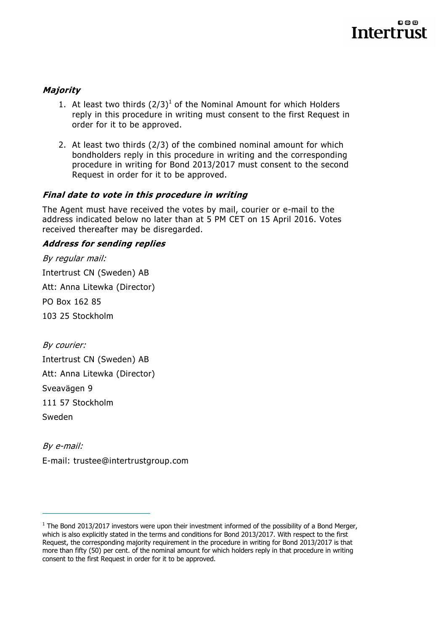### **Majority**

- 1. At least two thirds  $(2/3)^1$  of the Nominal Amount for which Holders reply in this procedure in writing must consent to the first Request in order for it to be approved.
- 2. At least two thirds (2/3) of the combined nominal amount for which bondholders reply in this procedure in writing and the corresponding procedure in writing for Bond 2013/2017 must consent to the second Request in order for it to be approved.

### **Final date to vote in this procedure in writing**

The Agent must have received the votes by mail, courier or e-mail to the address indicated below no later than at 5 PM CET on 15 April 2016. Votes received thereafter may be disregarded.

### **Address for sending replies**

By regular mail: Intertrust CN (Sweden) AB Att: Anna Litewka (Director) PO Box 162 85 103 25 Stockholm

By courier: Intertrust CN (Sweden) AB Att: Anna Litewka (Director) Sveavägen 9 111 57 Stockholm Sweden

 $\overline{a}$ 

By e-mail: E-mail: trustee@intertrustgroup.com

 $<sup>1</sup>$  The Bond 2013/2017 investors were upon their investment informed of the possibility of a Bond Merger,</sup> which is also explicitly stated in the terms and conditions for Bond 2013/2017. With respect to the first Request, the corresponding majority requirement in the procedure in writing for Bond 2013/2017 is that more than fifty (50) per cent. of the nominal amount for which holders reply in that procedure in writing consent to the first Request in order for it to be approved.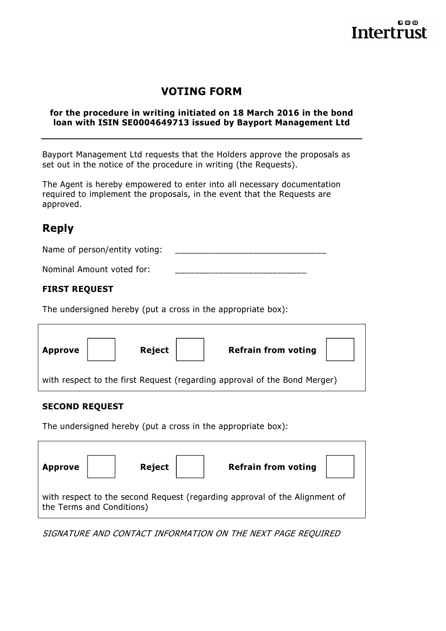## **VOTING FORM**

#### **for the procedure in writing initiated on 18 March 2016 in the bond loan with ISIN SE0004649713 issued by Bayport Management Ltd**

Bayport Management Ltd requests that the Holders approve the proposals as set out in the notice of the procedure in writing (the Requests).

The Agent is hereby empowered to enter into all necessary documentation required to implement the proposals, in the event that the Requests are approved.

## **Reply**

| Name of person/entity voting: |  |
|-------------------------------|--|
|                               |  |

Nominal Amount voted for:

### **FIRST REQUEST**

The undersigned hereby (put a cross in the appropriate box):

| <b>Approve</b> | Reject | <b>Refrain from voting</b>                                                |  |
|----------------|--------|---------------------------------------------------------------------------|--|
|                |        | with respect to the first Request (regarding approval of the Bond Merger) |  |

#### **SECOND REQUEST**

The undersigned hereby (put a cross in the appropriate box):

| <b>Approve</b>            | <b>Reject</b> | <b>Refrain from voting</b>                                                 |  |
|---------------------------|---------------|----------------------------------------------------------------------------|--|
| the Terms and Conditions) |               | with respect to the second Request (regarding approval of the Alignment of |  |

SIGNATURE AND CONTACT INFORMATION ON THE NEXT PAGE REQUIRED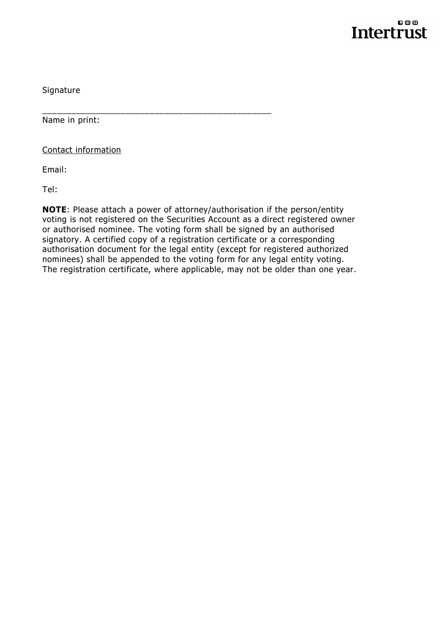

Signature

Name in print:

Contact information

Email:

Tel:

**NOTE**: Please attach a power of attorney/authorisation if the person/entity voting is not registered on the Securities Account as a direct registered owner or authorised nominee. The voting form shall be signed by an authorised signatory. A certified copy of a registration certificate or a corresponding authorisation document for the legal entity (except for registered authorized nominees) shall be appended to the voting form for any legal entity voting. The registration certificate, where applicable, may not be older than one year.

\_\_\_\_\_\_\_\_\_\_\_\_\_\_\_\_\_\_\_\_\_\_\_\_\_\_\_\_\_\_\_\_\_\_\_\_\_\_\_\_\_\_\_\_\_\_\_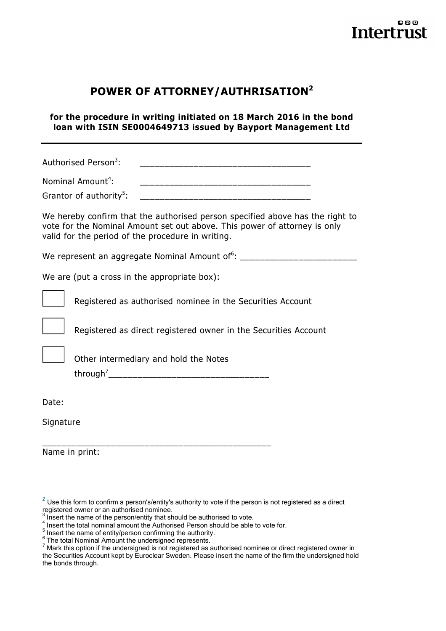## **POWER OF ATTORNEY/AUTHRISATION<sup>2</sup>**

**for the procedure in writing initiated on 18 March 2016 in the bond loan with ISIN SE0004649713 issued by Bayport Management Ltd** 

Authorised Person<sup>3</sup>:

| Nominal Amount <sup>4</sup> : |  |
|-------------------------------|--|
|-------------------------------|--|

| Grantor of authority <sup>5</sup> : |  |
|-------------------------------------|--|
|-------------------------------------|--|

We hereby confirm that the authorised person specified above has the right to vote for the Nominal Amount set out above. This power of attorney is only valid for the period of the procedure in writing.

We represent an aggregate Nominal Amount of  $6:$  \_\_\_\_\_\_\_\_\_\_\_\_\_\_\_\_\_\_\_\_\_\_\_\_\_\_\_\_\_\_\_

We are (put a cross in the appropriate box):



Registered as authorised nominee in the Securities Account



Registered as direct registered owner in the Securities Account



Other intermediary and hold the Notes

\_\_\_\_\_\_\_\_\_\_\_\_\_\_\_\_\_\_\_\_\_\_\_\_\_\_\_\_\_\_\_\_\_\_\_\_\_\_\_\_\_\_\_\_\_\_\_

through<sup>7</sup> \_\_\_\_\_\_\_\_\_\_\_\_\_\_\_\_\_\_\_\_\_\_\_\_\_\_\_\_\_\_\_\_\_

Date:

 $\overline{a}$ 

**Signature** 

Name in print:

 $^{2}$  Use this form to confirm a person's/entity's authority to vote if the person is not registered as a direct registered owner or an authorised nominee.<br>3 lnoort the name of the norsen/ontity that al

Insert the name of the person/entity that should be authorised to vote.

 $\frac{4}{1}$  Insert the total nominal amount the Authorised Person should be able to vote for.

 $\frac{5}{3}$  Insert the name of entity/person confirming the authority.

 $\frac{6}{1}$  The total Nominal Amount the undersigned represents.

<sup>7</sup> Mark this option if the undersigned is not registered as authorised nominee or direct registered owner in the Securities Account kept by Euroclear Sweden. Please insert the name of the firm the undersigned hold the bonds through.